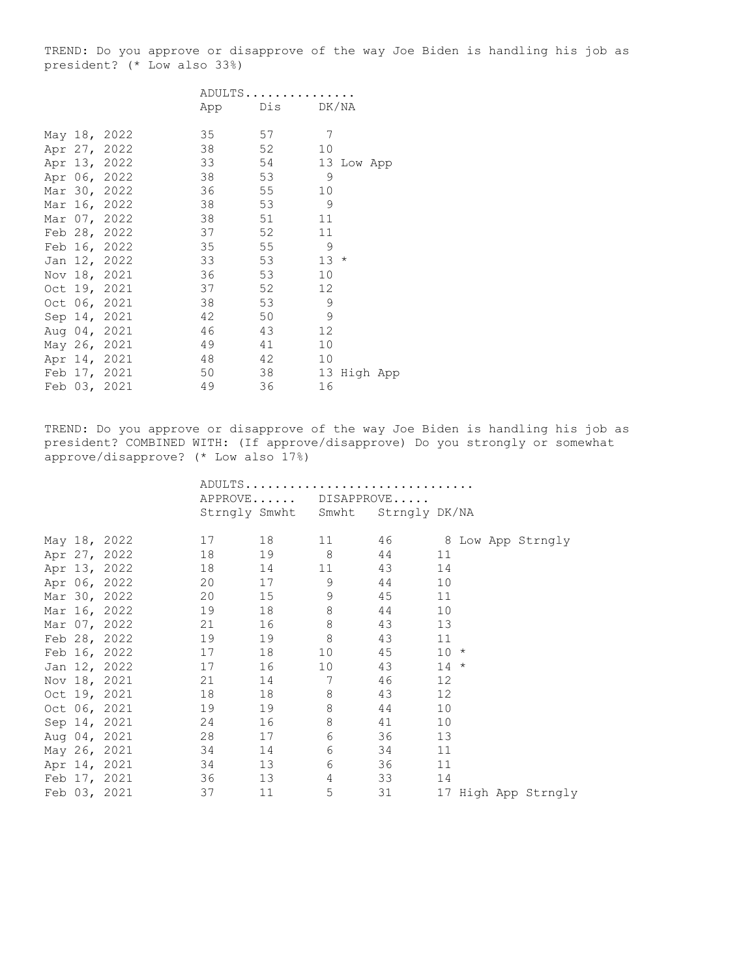TREND: Do you approve or disapprove of the way Joe Biden is handling his job as president? (\* Low also 33%)

|  |              | ADULTS |     |                   |
|--|--------------|--------|-----|-------------------|
|  |              | App    | Dis | DK/NA             |
|  | May 18, 2022 | 35     | 57  | 7                 |
|  | Apr 27, 2022 | 38     | 52  | 10                |
|  | Apr 13, 2022 | 33     | 54  | 13 Low App        |
|  | Apr 06, 2022 | 38     | 53  | 9                 |
|  | Mar 30, 2022 | 36     | 55  | 10                |
|  | Mar 16, 2022 | 38     | 53  | 9                 |
|  | Mar 07, 2022 | 38     | 51  | 11                |
|  | Feb 28, 2022 | 37     | 52  | 11                |
|  | Feb 16, 2022 | 35     | 55  | 9                 |
|  | Jan 12, 2022 | 33     | 53  | 13<br>$\star$     |
|  | Nov 18, 2021 | 36     | 53  | 10                |
|  | Oct 19, 2021 | 37     | 52  | $12 \overline{c}$ |
|  | Oct 06, 2021 | 38     | 53  | 9                 |
|  | Sep 14, 2021 | 42     | 50  | 9                 |
|  | Aug 04, 2021 | 46     | 43  | 12                |
|  | May 26, 2021 | 49     | 41  | 10                |
|  | Apr 14, 2021 | 48     | 42  | 10                |
|  | Feb 17, 2021 | 50     | 38  | 13<br>High App    |
|  | Feb 03, 2021 | 49     | 36  | 16                |

TREND: Do you approve or disapprove of the way Joe Biden is handling his job as president? COMBINED WITH: (If approve/disapprove) Do you strongly or somewhat approve/disapprove? (\* Low also 17%)

|  |                    | ADULTS |       |                                   |                      |                   |  |                     |
|--|--------------------|--------|-------|-----------------------------------|----------------------|-------------------|--|---------------------|
|  |                    |        |       | APPROVE DISAPPROVE                |                      |                   |  |                     |
|  |                    |        |       | Strngly Smwht Smwht Strngly DK/NA |                      |                   |  |                     |
|  |                    |        |       |                                   |                      |                   |  |                     |
|  | May 18, 2022       | 17     |       | 11 — 1                            | 46 8 Low App Strngly |                   |  |                     |
|  | Apr 27, 2022       | 18     |       | 19 8                              | 44                   | 11                |  |                     |
|  | Apr 13, 2022       | 18     | 14    |                                   | 11 43                | 14                |  |                     |
|  | Apr 06, 2022       | 20     | 17 9  |                                   | 44                   | 10                |  |                     |
|  | Mar 30, 2022       | 20     | 15    | $\overline{9}$                    | 45                   | 11                |  |                     |
|  | Mar 16, 2022       | 19     |       | 8                                 | 44                   | 10                |  |                     |
|  | Mar 07, 2022       | 21     | 16    | 8                                 | 43                   | 13                |  |                     |
|  | Feb 28, 2022       | 19     | 19    | 8                                 | 43                   | 11                |  |                     |
|  | 17<br>Feb 16, 2022 |        | 18    | 10                                | 45 10 *              |                   |  |                     |
|  | Jan 12, 2022       | 17     | 16    | 10                                | 43                   | $14 *$            |  |                     |
|  | Nov 18, 2021       | 21     | 14 7  |                                   | 46                   | $12 \overline{ }$ |  |                     |
|  | Oct 19, 2021       | 18     | 18 18 | 8                                 | 43                   | 12                |  |                     |
|  | Oct 06, 2021       | 19     | 19    | 8                                 | 44                   | 10                |  |                     |
|  | Sep 14, 2021       | 24     | 16    | 8                                 | 41                   | 10                |  |                     |
|  | Aug 04, 2021       | 28     |       | 6                                 | 36 — 1               | 13                |  |                     |
|  | May 26, 2021       | 34     |       | 6                                 | 34                   | 11                |  |                     |
|  | 34<br>Apr 14, 2021 |        | 13    | 6                                 | 36                   | 11                |  |                     |
|  | Feb 17, 2021       | 36     | 13    | $\overline{4}$                    | 33                   | 14                |  |                     |
|  | Feb 03, 2021       | 37     | 11    | 5                                 | 31 — 1               |                   |  | 17 High App Strngly |
|  |                    |        |       |                                   |                      |                   |  |                     |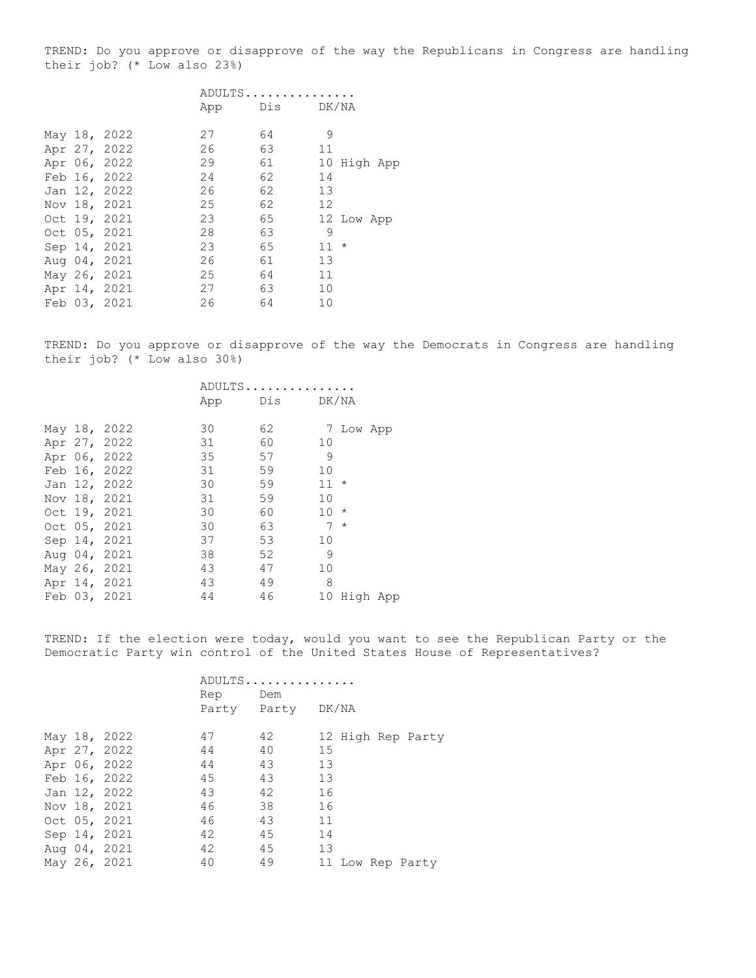TREND: Do you approve or disapprove of the way the Republicans in Congress are handling their job? (\* Low also 23%)

|  | ADULTS                                                                                                                                                                                                       |    |    |     |                                           |
|--|--------------------------------------------------------------------------------------------------------------------------------------------------------------------------------------------------------------|----|----|-----|-------------------------------------------|
|  | App                                                                                                                                                                                                          |    |    |     |                                           |
|  | 27                                                                                                                                                                                                           | 64 | 9  |     |                                           |
|  | 26                                                                                                                                                                                                           | 63 | 11 |     |                                           |
|  | 29                                                                                                                                                                                                           | 61 | 10 |     |                                           |
|  | 24                                                                                                                                                                                                           | 62 | 14 |     |                                           |
|  | 26                                                                                                                                                                                                           | 62 | 13 |     |                                           |
|  | 25                                                                                                                                                                                                           | 62 | 12 |     |                                           |
|  | 23                                                                                                                                                                                                           | 65 |    |     |                                           |
|  | 28                                                                                                                                                                                                           | 63 | 9  |     |                                           |
|  | 23                                                                                                                                                                                                           | 65 |    |     |                                           |
|  | 26                                                                                                                                                                                                           | 61 | 13 |     |                                           |
|  | 25                                                                                                                                                                                                           | 64 | 11 |     |                                           |
|  | 27                                                                                                                                                                                                           | 63 | 10 |     |                                           |
|  | 26                                                                                                                                                                                                           | 64 | 10 |     |                                           |
|  | May 18, 2022<br>Apr 27, 2022<br>Apr 06, 2022<br>Feb 16, 2022<br>Jan 12, 2022<br>Nov 18, 2021<br>Oct 19, 2021<br>Oct 05, 2021<br>Sep 14, 2021<br>Aug 04, 2021<br>May 26, 2021<br>Apr 14, 2021<br>Feb 03, 2021 |    |    | Dis | DK/NA<br>High App<br>12 Low App<br>$11 *$ |

TREND: Do you approve or disapprove of the way the Democrats in Congress are handling their job? (\* Low also 30%)

|  |              | ADULTS |           |                 |           |  |
|--|--------------|--------|-----------|-----------------|-----------|--|
|  |              | App    | Dis DK/NA |                 |           |  |
|  |              | 30     | 62        |                 |           |  |
|  | May 18, 2022 |        |           |                 | 7 Low App |  |
|  | Apr 27, 2022 | 31     | 60        | 10              |           |  |
|  | Apr 06, 2022 | 35     | 57        | 9               |           |  |
|  | Feb 16, 2022 | 31     | 59        | 10              |           |  |
|  | Jan 12, 2022 | 30     | 59        | $11 *$          |           |  |
|  | Nov 18, 2021 | 31     | 59        | 10              |           |  |
|  | Oct 19, 2021 | 30     | 60        | $10 *$          |           |  |
|  | Oct 05, 2021 | 30     | 63        | 7               | $\star$   |  |
|  | Sep 14, 2021 | 37     | 53        | 10 <sup>°</sup> |           |  |
|  | Aug 04, 2021 | 38     | 52        | 9               |           |  |
|  | May 26, 2021 | 43     | 47        | 10              |           |  |
|  | Apr 14, 2021 | 43     | 49        | 8               |           |  |
|  | Feb 03, 2021 | 44     | 46        | 10              | High App  |  |

TREND: If the election were today, would you want to see the Republican Party or the Democratic Party win control of the United States House of Representatives?

|  |              |     | ADULTS            |                   |
|--|--------------|-----|-------------------|-------------------|
|  |              | Rep | Dem               |                   |
|  |              |     | Party Party DK/NA |                   |
|  | May 18, 2022 | 47  | 42                | 12 High Rep Party |
|  | Apr 27, 2022 | 44  | 40                | 15                |
|  | Apr 06, 2022 | 44  | 43                | 13                |
|  | Feb 16, 2022 | 45  | 43                | 13                |
|  | Jan 12, 2022 | 43  | 42                | 16                |
|  | Nov 18, 2021 | 46  | 38                | 16                |
|  | Oct 05, 2021 | 46  | 43                | 11                |
|  | Sep 14, 2021 | 42  | 45                | 14                |
|  | Aug 04, 2021 | 42  | 45                | 13                |
|  | May 26, 2021 | 40  | 49                | 11 Low Rep Party  |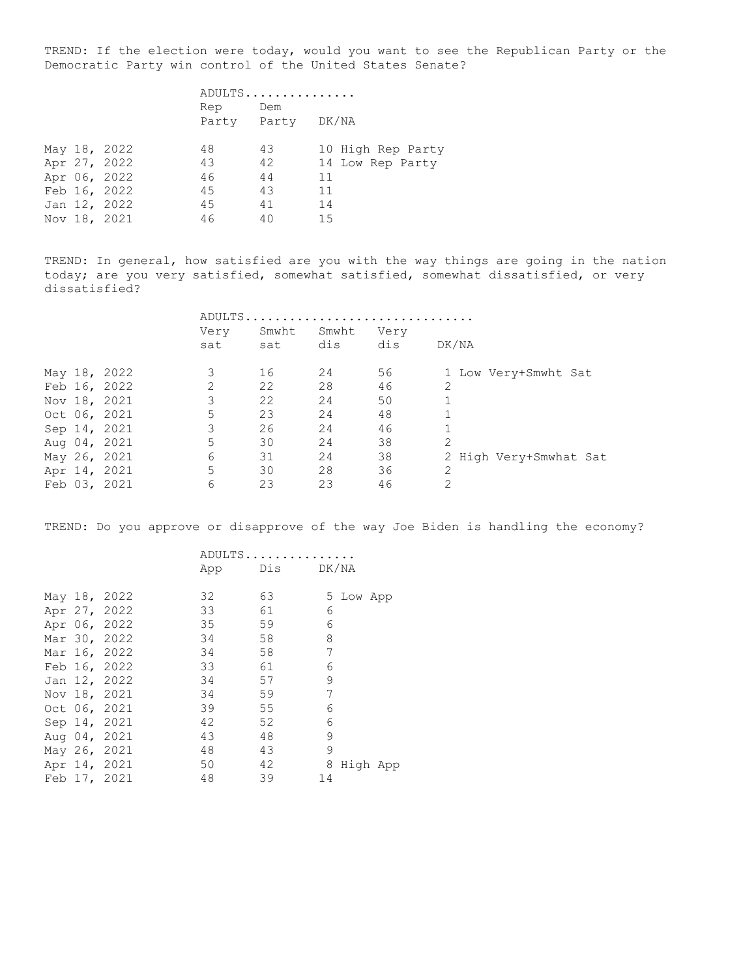TREND: If the election were today, would you want to see the Republican Party or the Democratic Party win control of the United States Senate?

|  |              | ADULTS |                   |                   |  |
|--|--------------|--------|-------------------|-------------------|--|
|  |              | Rep    | Dem               |                   |  |
|  |              |        | Party Party DK/NA |                   |  |
|  | May 18, 2022 | 48     | 43                | 10 High Rep Party |  |
|  | Apr 27, 2022 | 43     | 42                | 14 Low Rep Party  |  |
|  | Apr 06, 2022 | 46     | 44                | 11                |  |
|  | Feb 16, 2022 | 45     | 43                | 11                |  |
|  | Jan 12, 2022 | 45     | 41                | 14                |  |
|  | Nov 18, 2021 | 46     | 40                | 15                |  |

TREND: In general, how satisfied are you with the way things are going in the nation today; are you very satisfied, somewhat satisfied, somewhat dissatisfied, or very dissatisfied?

|  |              | ADULTS. |       |       |      |                        |
|--|--------------|---------|-------|-------|------|------------------------|
|  |              | Very    | Smwht | Smwht | Very |                        |
|  |              | sat     | sat   | dis   | dis  | DK/NA                  |
|  | May 18, 2022 | 3       | 16    | 24    | 56   | 1 Low Very+Smwht Sat   |
|  | Feb 16, 2022 | 2       | 22    | 28    | 46   | 2                      |
|  | Nov 18, 2021 | 3       | 22    | 24    | 50   |                        |
|  | Oct 06, 2021 | 5       | 23    | 24    | 48   |                        |
|  | Sep 14, 2021 | 3       | 26    | 24    | 46   |                        |
|  | Aug 04, 2021 | 5       | 30    | 24    | 38   | $\mathfrak{D}$         |
|  | May 26, 2021 | 6       | 31    | 24    | 38   | 2 High Very+Smwhat Sat |
|  | Apr 14, 2021 | 5       | 30    | 28    | 36   |                        |
|  | Feb 03, 2021 | 6       | 23    | 23    | 46   | 2                      |

TREND: Do you approve or disapprove of the way Joe Biden is handling the economy?

|  |              | ADULTS |               |    |           |  |
|--|--------------|--------|---------------|----|-----------|--|
|  |              |        | App Dis DK/NA |    |           |  |
|  | May 18, 2022 | 32     | 63            |    | 5 Low App |  |
|  | Apr 27, 2022 | 33     | 61            | 6  |           |  |
|  | Apr 06, 2022 | 35     | 59            | 6  |           |  |
|  | Mar 30, 2022 | 34     | 58            | 8  |           |  |
|  | Mar 16, 2022 | 34     | 58            | 7  |           |  |
|  | Feb 16, 2022 | 33     | 61            | 6  |           |  |
|  | Jan 12, 2022 | 34     | 57            | 9  |           |  |
|  | Nov 18, 2021 | 34     | 59            | 7  |           |  |
|  | Oct 06, 2021 | 39     | 55            | 6  |           |  |
|  | Sep 14, 2021 | 42     | 52            | 6  |           |  |
|  | Aug 04, 2021 | 43     | 48            | 9  |           |  |
|  | May 26, 2021 | 48     | 43            | 9  |           |  |
|  | Apr 14, 2021 | 50     | 42            | 8  | High App  |  |
|  | Feb 17, 2021 | 48     | 39            | 14 |           |  |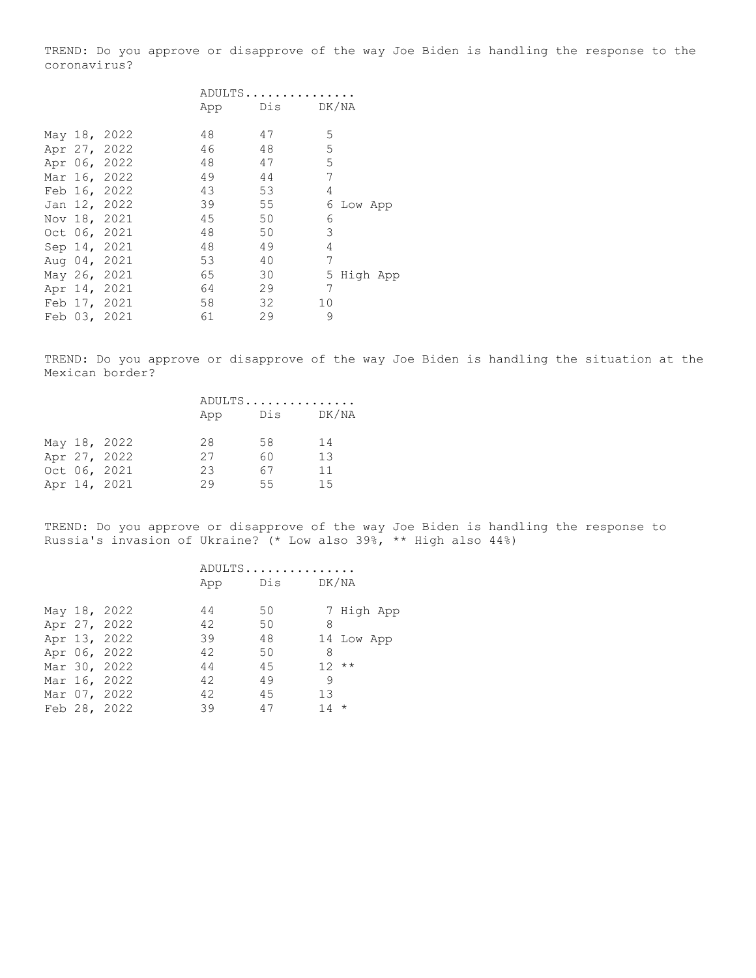TREND: Do you approve or disapprove of the way Joe Biden is handling the response to the coronavirus?

|  |              | ADULTS |     |       |         |          |
|--|--------------|--------|-----|-------|---------|----------|
|  |              | App    | Dis | DK/NA |         |          |
|  | May 18, 2022 | 48     | 47  | 5     |         |          |
|  | Apr 27, 2022 | 46     | 48  | 5     |         |          |
|  | Apr 06, 2022 | 48     | 47  | 5     |         |          |
|  | Mar 16, 2022 | 49     | 44  | 7     |         |          |
|  | Feb 16, 2022 | 43     | 53  | 4     |         |          |
|  | Jan 12, 2022 | 39     | 55  | 6     | Low App |          |
|  | Nov 18, 2021 | 45     | 50  | 6     |         |          |
|  | Oct 06, 2021 | 48     | 50  | 3     |         |          |
|  | Sep 14, 2021 | 48     | 49  | 4     |         |          |
|  | Aug 04, 2021 | 53     | 40  | 7     |         |          |
|  | May 26, 2021 | 65     | 30  | 5.    |         | High App |
|  | Apr 14, 2021 | 64     | 29  | 7     |         |          |
|  | Feb 17, 2021 | 58     | 32  | 10    |         |          |
|  | Feb 03, 2021 | 61     | 29  | 9     |         |          |
|  |              |        |     |       |         |          |

TREND: Do you approve or disapprove of the way Joe Biden is handling the situation at the Mexican border?

|  |              | ADULTS |     |       |  |
|--|--------------|--------|-----|-------|--|
|  |              | App    | Dis | DK/NA |  |
|  | May 18, 2022 | 28     | 58  | 14    |  |
|  | Apr 27, 2022 | 27     | 60  | 13    |  |
|  | Oct 06, 2021 | 23     | 67  | 11    |  |
|  | Apr 14, 2021 | 29     | 55  | 1.5   |  |

TREND: Do you approve or disapprove of the way Joe Biden is handling the response to Russia's invasion of Ukraine? (\* Low also 39%, \*\* High also 44%)

|  |              | ADULTS |     |            |  |  |
|--|--------------|--------|-----|------------|--|--|
|  |              | App    | Dis | DK/NA      |  |  |
|  | May 18, 2022 | 44     | 50  | 7 High App |  |  |
|  | Apr 27, 2022 | 42     | 50  | 8          |  |  |
|  | Apr 13, 2022 | 39     | 48  | 14 Low App |  |  |
|  | Apr 06, 2022 | 42     | 50  | 8          |  |  |
|  | Mar 30, 2022 | 44     | 45  | $12**$     |  |  |
|  | Mar 16, 2022 | 42     | 49  | -9         |  |  |
|  | Mar 07, 2022 | 42     | 45  | 13         |  |  |
|  | Feb 28, 2022 | 39     | 47  | $14 *$     |  |  |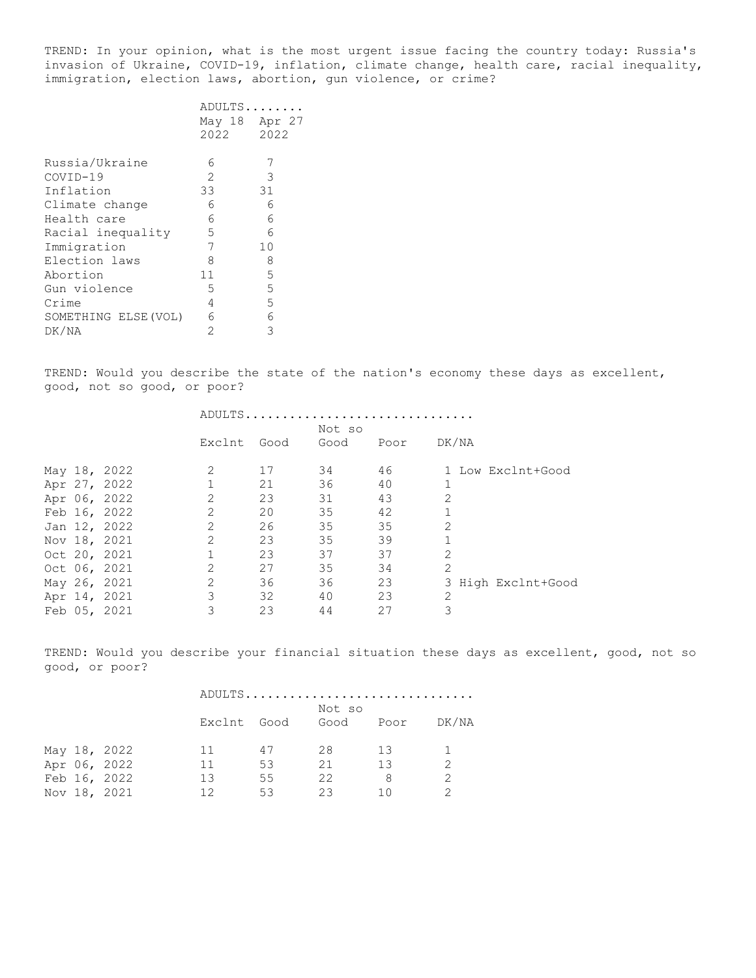TREND: In your opinion, what is the most urgent issue facing the country today: Russia's invasion of Ukraine, COVID-19, inflation, climate change, health care, racial inequality, immigration, election laws, abortion, gun violence, or crime?

|                      | ADULTS |        |
|----------------------|--------|--------|
|                      | May 18 | Apr 27 |
|                      | 2022   | 2022   |
| Russia/Ukraine       | 6      |        |
| $COVID-19$           | 2      | 3      |
| Inflation            | 33     | 31     |
| Climate change       | 6      | 6      |
| Health care          | 6      | 6      |
| Racial inequality    | 5      | 6      |
| Immigration          | 7      | 10     |
| Election laws        | 8      | 8      |
| Abortion             | 11     | 5      |
| Gun violence         | 5      | 5      |
| Crime                | 4      | 5      |
| SOMETHING ELSE (VOL) | 6      | 6      |
| DK/NA                | 2      | 3      |
|                      |        |        |

TREND: Would you describe the state of the nation's economy these days as excellent, good, not so good, or poor?

|  |              |                | ADULTS |        |      |                    |
|--|--------------|----------------|--------|--------|------|--------------------|
|  |              |                |        | Not so |      |                    |
|  |              | Exclnt         | Good   | Good   | Poor | DK/NA              |
|  | May 18, 2022 | 2              | 17     | 34     | 46   | 1 Low Exclnt+Good  |
|  | Apr 27, 2022 |                | 21     | 36     | 40   |                    |
|  | Apr 06, 2022 | 2              | 23     | 31     | 43   | 2                  |
|  | Feb 16, 2022 | 2              | 20     | 35     | 42   |                    |
|  | Jan 12, 2022 | 2              | 26     | 35     | 35   | 2                  |
|  | Nov 18, 2021 | 2              | 23     | 35     | 39   | $\mathbf{1}$       |
|  | Oct 20, 2021 |                | 23     | 37     | 37   | $\overline{2}$     |
|  | Oct 06, 2021 | 2              | 27     | 35     | 34   | $\overline{2}$     |
|  | May 26, 2021 | $\overline{2}$ | 36     | 36     | 23   | 3 High Exclnt+Good |
|  | Apr 14, 2021 | 3              | 32     | 40     | 23   | 2                  |
|  | Feb 05, 2021 | 3              | 23     | 44     | 27   | 3                  |

TREND: Would you describe your financial situation these days as excellent, good, not so good, or poor?

|  |              |             |    |        | ADULTS |       |
|--|--------------|-------------|----|--------|--------|-------|
|  |              |             |    | Not so |        |       |
|  |              | Exclnt Good |    | Good   | Poor   | DK/NA |
|  |              |             |    |        |        |       |
|  | May 18, 2022 | 11          | 47 | 28     | -1.3   |       |
|  | Apr 06, 2022 | 11          | 53 | 21     | 13     |       |
|  | Feb 16, 2022 | 13          | 55 | 22     |        |       |
|  | Nov 18, 2021 | 12          | 53 | 23     | 1 N    |       |
|  |              |             |    |        |        |       |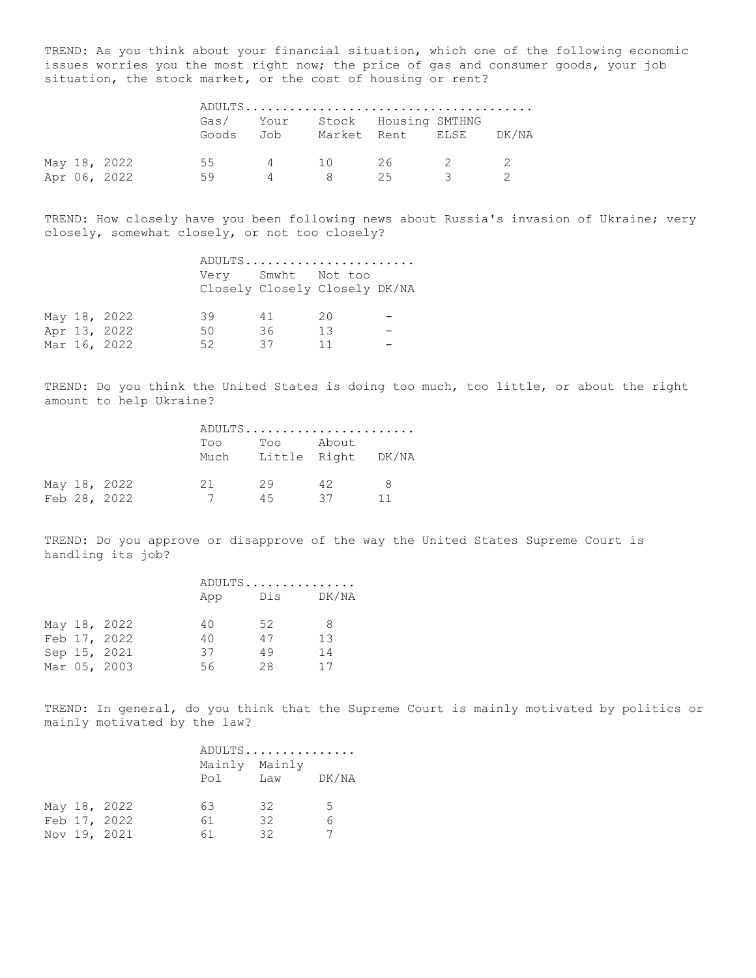TREND: As you think about your financial situation, which one of the following economic issues worries you the most right now; the price of gas and consumer goods, your job situation, the stock market, or the cost of housing or rent?

|  |              |    |  | Gas/ Your Stock Housing SMTHNG<br>Goods Job Market Rent ELSE DK/NA |  |
|--|--------------|----|--|--------------------------------------------------------------------|--|
|  | May 18, 2022 | 55 |  | 4 10 26 2                                                          |  |
|  | Apr 06, 2022 | 59 |  | 25                                                                 |  |

TREND: How closely have you been following news about Russia's invasion of Ukraine; very closely, somewhat closely, or not too closely?

|  |              |                    |    | ADULTS                        |  |
|--|--------------|--------------------|----|-------------------------------|--|
|  |              | Very Smwht Not too |    | Closely Closely Closely DK/NA |  |
|  | May 18, 2022 | 39                 | 41 | 20                            |  |
|  | Apr 13, 2022 | 50                 | 36 | -1.3                          |  |
|  | Mar 16, 2022 | 52                 | 37 | 11                            |  |

TREND: Do you think the United States is doing too much, too little, or about the right amount to help Ukraine?

|              | Too          | Too |    |                                                  |
|--------------|--------------|-----|----|--------------------------------------------------|
| May 18, 2022 | -21 -<br>7   | 29  | 42 | 8<br>11                                          |
|              | Feb 28, 2022 |     | 45 | ADULTS<br>About<br>Much Little Right DK/NA<br>37 |

TREND: Do you approve or disapprove of the way the United States Supreme Court is handling its job?

|  |              |     | ADULTS |       |  |  |
|--|--------------|-----|--------|-------|--|--|
|  |              | App | Dis    | DK/NA |  |  |
|  | May 18, 2022 | 40  | 52     | 8     |  |  |
|  | Feb 17, 2022 | 40  | 47     | 13    |  |  |
|  | Sep 15, 2021 | 37  | 49     | 14    |  |  |
|  | Mar 05, 2003 | 56  | 28     | 17    |  |  |

TREND: In general, do you think that the Supreme Court is mainly motivated by politics or mainly motivated by the law?

|  |              | ADULTS        |     |       |
|--|--------------|---------------|-----|-------|
|  |              | Mainly Mainly |     |       |
|  |              | Pol           | Law | DK/NA |
|  |              |               |     |       |
|  | May 18, 2022 | 63            | 32  | .5    |
|  | Feb 17, 2022 | 61            | 32  |       |
|  | Nov 19, 2021 | 61            | 32  |       |